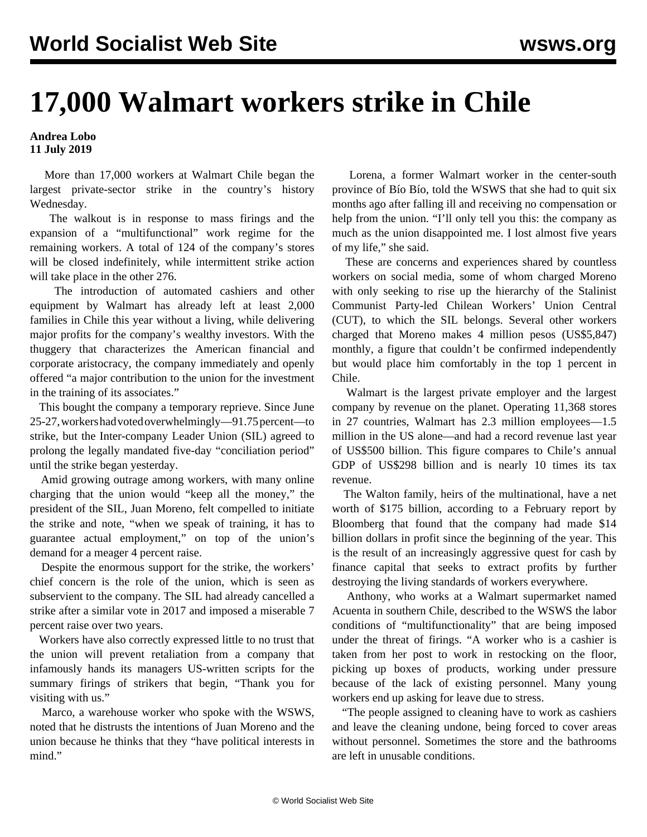## **17,000 Walmart workers strike in Chile**

## **Andrea Lobo 11 July 2019**

 More than 17,000 workers at Walmart Chile began the largest private-sector strike in the country's history Wednesday.

 The walkout is in response to mass firings and the expansion of a "multifunctional" work regime for the remaining workers. A total of 124 of the company's stores will be closed indefinitely, while intermittent strike action will take place in the other 276.

 The introduction of automated cashiers and other equipment by Walmart has already left at least 2,000 families in Chile this year without a living, while delivering major profits for the company's wealthy investors. With the thuggery that characterizes the American financial and corporate aristocracy, the company immediately and openly offered "a major contribution to the union for the investment in the training of its associates."

 This bought the company a temporary reprieve. Since June 25-27, workers had voted overwhelmingly—91.75 percent—to strike, but the Inter-company Leader Union (SIL) agreed to prolong the legally mandated five-day "conciliation period" until the strike began yesterday.

 Amid growing outrage among workers, with many online charging that the union would "keep all the money," the president of the SIL, Juan Moreno, felt compelled to initiate the strike and note, "when we speak of training, it has to guarantee actual employment," on top of the union's demand for a meager 4 percent raise.

 Despite the enormous support for the strike, the workers' chief concern is the role of the union, which is seen as subservient to the company. The SIL had already cancelled a strike after a similar vote in 2017 and imposed a miserable 7 percent raise over two years.

 Workers have also correctly expressed little to no trust that the union will prevent retaliation from a company that infamously hands its managers US-written scripts for the summary firings of strikers that begin, "Thank you for visiting with us."

 Marco, a warehouse worker who spoke with the WSWS, noted that he distrusts the intentions of Juan Moreno and the union because he thinks that they "have political interests in mind."

 Lorena, a former Walmart worker in the center-south province of Bío Bío, told the WSWS that she had to quit six months ago after falling ill and receiving no compensation or help from the union. "I'll only tell you this: the company as much as the union disappointed me. I lost almost five years of my life," she said.

 These are concerns and experiences shared by countless workers on social media, some of whom charged Moreno with only seeking to rise up the hierarchy of the Stalinist Communist Party-led Chilean Workers' Union Central (CUT), to which the SIL belongs. Several other workers charged that Moreno makes 4 million pesos (US\$5,847) monthly, a figure that couldn't be confirmed independently but would place him comfortably in the top 1 percent in Chile.

 Walmart is the largest private employer and the largest company by revenue on the planet. Operating 11,368 stores in 27 countries, Walmart has 2.3 million employees—1.5 million in the US alone—and had a record revenue last year of US\$500 billion. This figure compares to Chile's annual GDP of US\$298 billion and is nearly 10 times its tax revenue.

 The Walton family, heirs of the multinational, have a net worth of \$175 billion, according to a February report by Bloomberg that found that the company had made \$14 billion dollars in profit since the beginning of the year. This is the result of an increasingly aggressive quest for cash by finance capital that seeks to extract profits by further destroying the living standards of workers everywhere.

 Anthony, who works at a Walmart supermarket named Acuenta in southern Chile, described to the WSWS the labor conditions of "multifunctionality" that are being imposed under the threat of firings. "A worker who is a cashier is taken from her post to work in restocking on the floor, picking up boxes of products, working under pressure because of the lack of existing personnel. Many young workers end up asking for leave due to stress.

 "The people assigned to cleaning have to work as cashiers and leave the cleaning undone, being forced to cover areas without personnel. Sometimes the store and the bathrooms are left in unusable conditions.